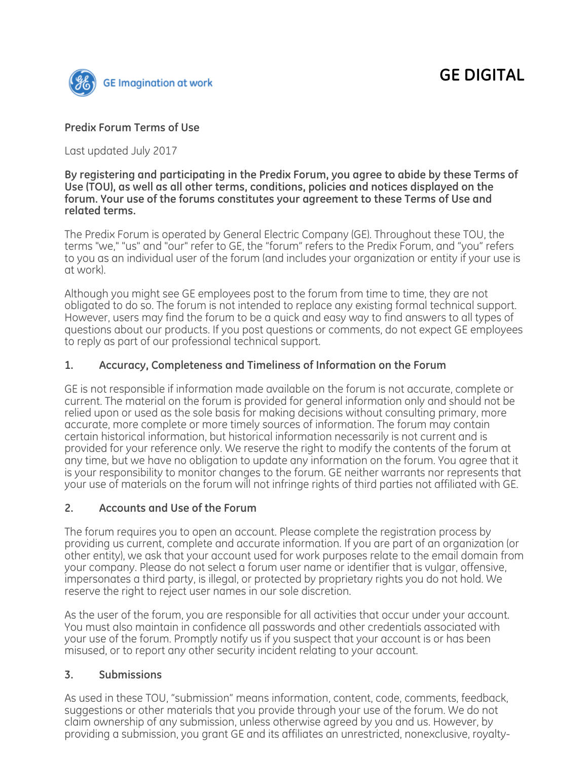

### **Predix Forum Terms of Use**

Last updated July 2017

#### **By registering and participating in the Predix Forum, you agree to abide by these Terms of Use (TOU), as well as all other terms, conditions, policies and notices displayed on the forum. Your use of the forums constitutes your agreement to these Terms of Use and related terms.**

The Predix Forum is operated by General Electric Company (GE). Throughout these TOU, the terms "we," "us" and "our" refer to GE, the "forum" refers to the Predix Forum, and "you" refers to you as an individual user of the forum (and includes your organization or entity if your use is at work).

Although you might see GE employees post to the forum from time to time, they are not obligated to do so. The forum is not intended to replace any existing formal technical support. However, users may find the forum to be a quick and easy way to find answers to all types of questions about our products. If you post questions or comments, do not expect GE employees to reply as part of our professional technical support.

### **1. Accuracy, Completeness and Timeliness of Information on the Forum**

GE is not responsible if information made available on the forum is not accurate, complete or current. The material on the forum is provided for general information only and should not be relied upon or used as the sole basis for making decisions without consulting primary, more accurate, more complete or more timely sources of information. The forum may contain certain historical information, but historical information necessarily is not current and is provided for your reference only. We reserve the right to modify the contents of the forum at any time, but we have no obligation to update any information on the forum. You agree that it is your responsibility to monitor changes to the forum. GE neither warrants nor represents that your use of materials on the forum will not infringe rights of third parties not affiliated with GE.

### **2. Accounts and Use of the Forum**

The forum requires you to open an account. Please complete the registration process by providing us current, complete and accurate information. If you are part of an organization (or other entity), we ask that your account used for work purposes relate to the email domain from your company. Please do not select a forum user name or identifier that is vulgar, offensive, impersonates a third party, is illegal, or protected by proprietary rights you do not hold. We reserve the right to reject user names in our sole discretion.

As the user of the forum, you are responsible for all activities that occur under your account. You must also maintain in confidence all passwords and other credentials associated with your use of the forum. Promptly notify us if you suspect that your account is or has been misused, or to report any other security incident relating to your account.

### **3. Submissions**

As used in these TOU, "submission" means information, content, code, comments, feedback, suggestions or other materials that you provide through your use of the forum. We do not claim ownership of any submission, unless otherwise agreed by you and us. However, by providing a submission, you grant GE and its affiliates an unrestricted, nonexclusive, royalty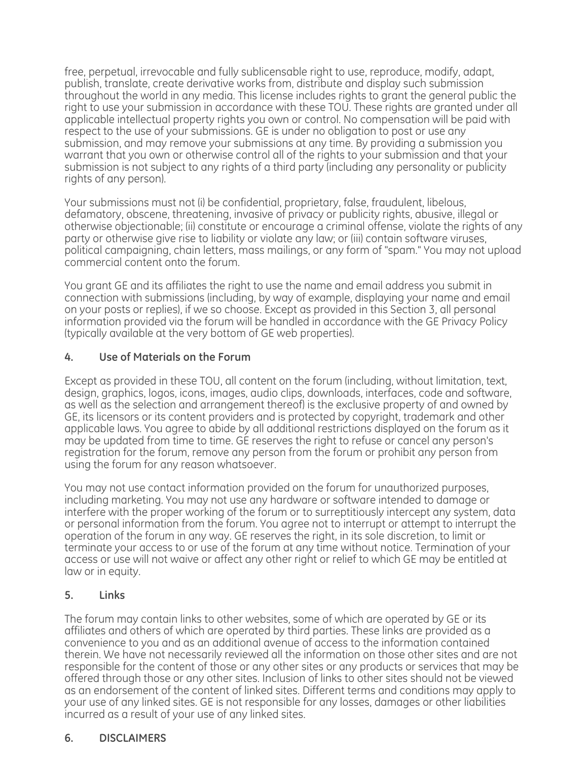free, perpetual, irrevocable and fully sublicensable right to use, reproduce, modify, adapt, publish, translate, create derivative works from, distribute and display such submission throughout the world in any media. This license includes rights to grant the general public the right to use your submission in accordance with these TOU. These rights are granted under all applicable intellectual property rights you own or control. No compensation will be paid with respect to the use of your submissions. GE is under no obligation to post or use any submission, and may remove your submissions at any time. By providing a submission you warrant that you own or otherwise control all of the rights to your submission and that your submission is not subject to any rights of a third party (including any personality or publicity rights of any person).

Your submissions must not (i) be confidential, proprietary, false, fraudulent, libelous, defamatory, obscene, threatening, invasive of privacy or publicity rights, abusive, illegal or otherwise objectionable; (ii) constitute or encourage a criminal offense, violate the rights of any party or otherwise give rise to liability or violate any law; or (iii) contain software viruses, political campaigning, chain letters, mass mailings, or any form of "spam." You may not upload commercial content onto the forum.

You grant GE and its affiliates the right to use the name and email address you submit in connection with submissions (including, by way of example, displaying your name and email on your posts or replies), if we so choose. Except as provided in this Section 3, all personal information provided via the forum will be handled in accordance with the GE Privacy Policy (typically available at the very bottom of GE web properties).

## **4. Use of Materials on the Forum**

Except as provided in these TOU, all content on the forum (including, without limitation, text, design, graphics, logos, icons, images, audio clips, downloads, interfaces, code and software, as well as the selection and arrangement thereof) is the exclusive property of and owned by GE, its licensors or its content providers and is protected by copyright, trademark and other applicable laws. You agree to abide by all additional restrictions displayed on the forum as it may be updated from time to time. GE reserves the right to refuse or cancel any person's registration for the forum, remove any person from the forum or prohibit any person from using the forum for any reason whatsoever.

You may not use contact information provided on the forum for unauthorized purposes, including marketing. You may not use any hardware or software intended to damage or interfere with the proper working of the forum or to surreptitiously intercept any system, data or personal information from the forum. You agree not to interrupt or attempt to interrupt the operation of the forum in any way. GE reserves the right, in its sole discretion, to limit or terminate your access to or use of the forum at any time without notice. Termination of your access or use will not waive or affect any other right or relief to which GE may be entitled at law or in equity.

## **5. Links**

The forum may contain links to other websites, some of which are operated by GE or its affiliates and others of which are operated by third parties. These links are provided as a convenience to you and as an additional avenue of access to the information contained therein. We have not necessarily reviewed all the information on those other sites and are not responsible for the content of those or any other sites or any products or services that may be offered through those or any other sites. Inclusion of links to other sites should not be viewed as an endorsement of the content of linked sites. Different terms and conditions may apply to your use of any linked sites. GE is not responsible for any losses, damages or other liabilities incurred as a result of your use of any linked sites.

## **6. DISCLAIMERS**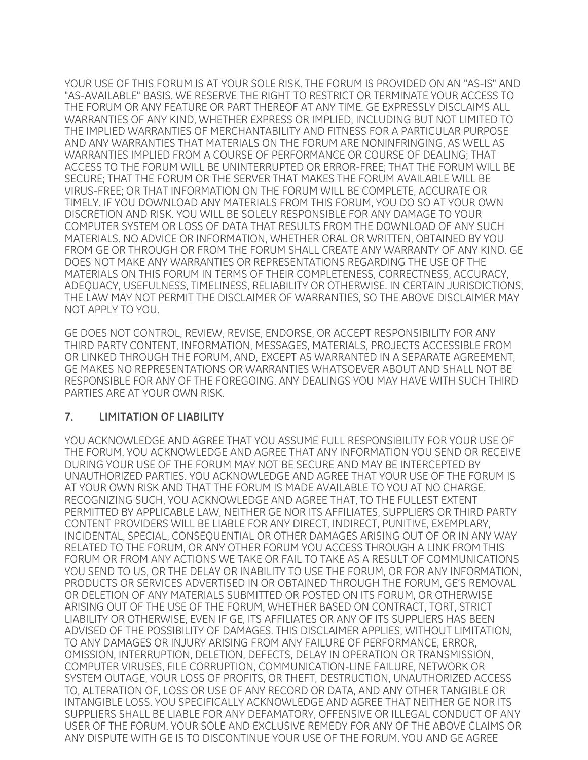YOUR USE OF THIS FORUM IS AT YOUR SOLE RISK. THE FORUM IS PROVIDED ON AN "AS-IS" AND "AS-AVAILABLE" BASIS. WE RESERVE THE RIGHT TO RESTRICT OR TERMINATE YOUR ACCESS TO THE FORUM OR ANY FEATURE OR PART THEREOF AT ANY TIME. GE EXPRESSLY DISCLAIMS ALL WARRANTIES OF ANY KIND, WHETHER EXPRESS OR IMPLIED, INCLUDING BUT NOT LIMITED TO THE IMPLIED WARRANTIES OF MERCHANTABILITY AND FITNESS FOR A PARTICULAR PURPOSE AND ANY WARRANTIES THAT MATERIALS ON THE FORUM ARE NONINFRINGING, AS WELL AS WARRANTIES IMPLIED FROM A COURSE OF PERFORMANCE OR COURSE OF DEALING; THAT ACCESS TO THE FORUM WILL BE UNINTERRUPTED OR ERROR-FREE; THAT THE FORUM WILL BE SECURE; THAT THE FORUM OR THE SERVER THAT MAKES THE FORUM AVAILABLE WILL BE VIRUS-FREE; OR THAT INFORMATION ON THE FORUM WILL BE COMPLETE, ACCURATE OR TIMELY. IF YOU DOWNLOAD ANY MATERIALS FROM THIS FORUM, YOU DO SO AT YOUR OWN DISCRETION AND RISK. YOU WILL BE SOLELY RESPONSIBLE FOR ANY DAMAGE TO YOUR COMPUTER SYSTEM OR LOSS OF DATA THAT RESULTS FROM THE DOWNLOAD OF ANY SUCH MATERIALS. NO ADVICE OR INFORMATION, WHETHER ORAL OR WRITTEN, OBTAINED BY YOU FROM GE OR THROUGH OR FROM THE FORUM SHALL CREATE ANY WARRANTY OF ANY KIND. GE DOES NOT MAKE ANY WARRANTIES OR REPRESENTATIONS REGARDING THE USE OF THE MATERIALS ON THIS FORUM IN TERMS OF THEIR COMPLETENESS, CORRECTNESS, ACCURACY, ADEQUACY, USEFULNESS, TIMELINESS, RELIABILITY OR OTHERWISE. IN CERTAIN JURISDICTIONS, THE LAW MAY NOT PERMIT THE DISCLAIMER OF WARRANTIES, SO THE ABOVE DISCLAIMER MAY NOT APPLY TO YOU.

GE DOES NOT CONTROL, REVIEW, REVISE, ENDORSE, OR ACCEPT RESPONSIBILITY FOR ANY THIRD PARTY CONTENT, INFORMATION, MESSAGES, MATERIALS, PROJECTS ACCESSIBLE FROM OR LINKED THROUGH THE FORUM, AND, EXCEPT AS WARRANTED IN A SEPARATE AGREEMENT, GE MAKES NO REPRESENTATIONS OR WARRANTIES WHATSOEVER ABOUT AND SHALL NOT BE RESPONSIBLE FOR ANY OF THE FOREGOING. ANY DEALINGS YOU MAY HAVE WITH SUCH THIRD PARTIES ARE AT YOUR OWN RISK.

#### **7. LIMITATION OF LIABILITY**

YOU ACKNOWLEDGE AND AGREE THAT YOU ASSUME FULL RESPONSIBILITY FOR YOUR USE OF THE FORUM. YOU ACKNOWLEDGE AND AGREE THAT ANY INFORMATION YOU SEND OR RECEIVE DURING YOUR USE OF THE FORUM MAY NOT BE SECURE AND MAY BE INTERCEPTED BY UNAUTHORIZED PARTIES. YOU ACKNOWLEDGE AND AGREE THAT YOUR USE OF THE FORUM IS AT YOUR OWN RISK AND THAT THE FORUM IS MADE AVAILABLE TO YOU AT NO CHARGE. RECOGNIZING SUCH, YOU ACKNOWLEDGE AND AGREE THAT, TO THE FULLEST EXTENT PERMITTED BY APPLICABLE LAW, NEITHER GE NOR ITS AFFILIATES, SUPPLIERS OR THIRD PARTY CONTENT PROVIDERS WILL BE LIABLE FOR ANY DIRECT, INDIRECT, PUNITIVE, EXEMPLARY, INCIDENTAL, SPECIAL, CONSEQUENTIAL OR OTHER DAMAGES ARISING OUT OF OR IN ANY WAY RELATED TO THE FORUM, OR ANY OTHER FORUM YOU ACCESS THROUGH A LINK FROM THIS FORUM OR FROM ANY ACTIONS WE TAKE OR FAIL TO TAKE AS A RESULT OF COMMUNICATIONS YOU SEND TO US, OR THE DELAY OR INABILITY TO USE THE FORUM, OR FOR ANY INFORMATION, PRODUCTS OR SERVICES ADVERTISED IN OR OBTAINED THROUGH THE FORUM, GE'S REMOVAL OR DELETION OF ANY MATERIALS SUBMITTED OR POSTED ON ITS FORUM, OR OTHERWISE ARISING OUT OF THE USE OF THE FORUM, WHETHER BASED ON CONTRACT, TORT, STRICT LIABILITY OR OTHERWISE, EVEN IF GE, ITS AFFILIATES OR ANY OF ITS SUPPLIERS HAS BEEN ADVISED OF THE POSSIBILITY OF DAMAGES. THIS DISCLAIMER APPLIES, WITHOUT LIMITATION, TO ANY DAMAGES OR INJURY ARISING FROM ANY FAILURE OF PERFORMANCE, ERROR, OMISSION, INTERRUPTION, DELETION, DEFECTS, DELAY IN OPERATION OR TRANSMISSION, COMPUTER VIRUSES, FILE CORRUPTION, COMMUNICATION-LINE FAILURE, NETWORK OR SYSTEM OUTAGE, YOUR LOSS OF PROFITS, OR THEFT, DESTRUCTION, UNAUTHORIZED ACCESS TO, ALTERATION OF, LOSS OR USE OF ANY RECORD OR DATA, AND ANY OTHER TANGIBLE OR INTANGIBLE LOSS. YOU SPECIFICALLY ACKNOWLEDGE AND AGREE THAT NEITHER GE NOR ITS SUPPLIERS SHALL BE LIABLE FOR ANY DEFAMATORY, OFFENSIVE OR ILLEGAL CONDUCT OF ANY USER OF THE FORUM. YOUR SOLE AND EXCLUSIVE REMEDY FOR ANY OF THE ABOVE CLAIMS OR ANY DISPUTE WITH GE IS TO DISCONTINUE YOUR USE OF THE FORUM. YOU AND GE AGREE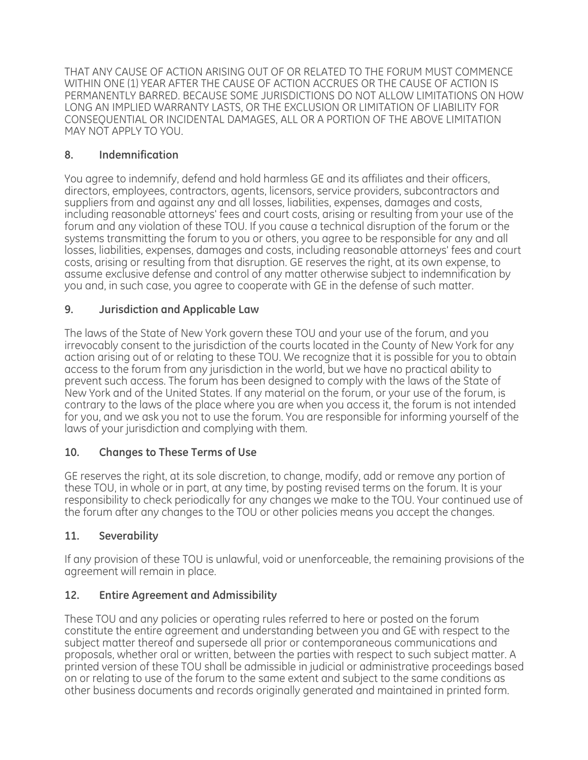THAT ANY CAUSE OF ACTION ARISING OUT OF OR RELATED TO THE FORUM MUST COMMENCE WITHIN ONE (1) YEAR AFTER THE CAUSE OF ACTION ACCRUES OR THE CAUSE OF ACTION IS PERMANENTLY BARRED. BECAUSE SOME JURISDICTIONS DO NOT ALLOW LIMITATIONS ON HOW LONG AN IMPLIED WARRANTY LASTS, OR THE EXCLUSION OR LIMITATION OF LIABILITY FOR CONSEQUENTIAL OR INCIDENTAL DAMAGES, ALL OR A PORTION OF THE ABOVE LIMITATION MAY NOT APPLY TO YOU.

# **8. Indemnification**

You agree to indemnify, defend and hold harmless GE and its affiliates and their officers, directors, employees, contractors, agents, licensors, service providers, subcontractors and suppliers from and against any and all losses, liabilities, expenses, damages and costs, including reasonable attorneys' fees and court costs, arising or resulting from your use of the forum and any violation of these TOU. If you cause a technical disruption of the forum or the systems transmitting the forum to you or others, you agree to be responsible for any and all losses, liabilities, expenses, damages and costs, including reasonable attorneys' fees and court costs, arising or resulting from that disruption. GE reserves the right, at its own expense, to assume exclusive defense and control of any matter otherwise subject to indemnification by you and, in such case, you agree to cooperate with GE in the defense of such matter.

# **9. Jurisdiction and Applicable Law**

The laws of the State of New York govern these TOU and your use of the forum, and you irrevocably consent to the jurisdiction of the courts located in the County of New York for any action arising out of or relating to these TOU. We recognize that it is possible for you to obtain access to the forum from any jurisdiction in the world, but we have no practical ability to prevent such access. The forum has been designed to comply with the laws of the State of New York and of the United States. If any material on the forum, or your use of the forum, is contrary to the laws of the place where you are when you access it, the forum is not intended for you, and we ask you not to use the forum. You are responsible for informing yourself of the laws of your jurisdiction and complying with them.

# **10. Changes to These Terms of Use**

GE reserves the right, at its sole discretion, to change, modify, add or remove any portion of these TOU, in whole or in part, at any time, by posting revised terms on the forum. It is your responsibility to check periodically for any changes we make to the TOU. Your continued use of the forum after any changes to the TOU or other policies means you accept the changes.

# **11. Severability**

If any provision of these TOU is unlawful, void or unenforceable, the remaining provisions of the agreement will remain in place.

# **12. Entire Agreement and Admissibility**

These TOU and any policies or operating rules referred to here or posted on the forum constitute the entire agreement and understanding between you and GE with respect to the subject matter thereof and supersede all prior or contemporaneous communications and proposals, whether oral or written, between the parties with respect to such subject matter. A printed version of these TOU shall be admissible in judicial or administrative proceedings based on or relating to use of the forum to the same extent and subject to the same conditions as other business documents and records originally generated and maintained in printed form.